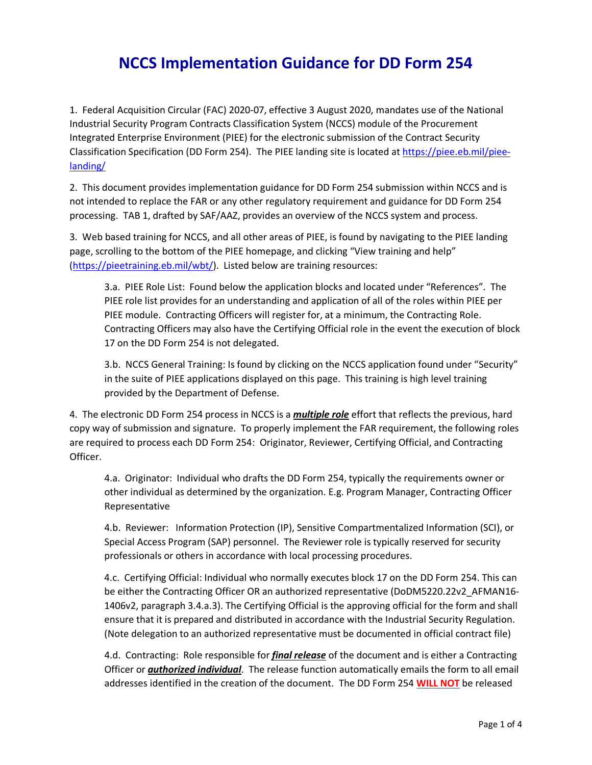## **NCCS Implementation Guidance for DD Form 254**

1. Federal Acquisition Circular (FAC) 2020-07, effective 3 August 2020, mandates use of the National Industrial Security Program Contracts Classification System (NCCS) module of the Procurement Integrated Enterprise Environment (PIEE) for the electronic submission of the Contract Security Classification Specification (DD Form 254). The PIEE landing site is located a[t https://piee.eb.mil/piee](https://piee.eb.mil/piee-landing/)[landing/](https://piee.eb.mil/piee-landing/) 

2. This document provides implementation guidance for DD Form 254 submission within NCCS and is not intended to replace the FAR or any other regulatory requirement and guidance for DD Form 254 processing. TAB 1, drafted by SAF/AAZ, provides an overview of the NCCS system and process.

3. Web based training for NCCS, and all other areas of PIEE, is found by navigating to the PIEE landing page, scrolling to the bottom of the PIEE homepage, and clicking "View training and help" [\(https://pieetraining.eb.mil/wbt/\)](https://pieetraining.eb.mil/wbt/). Listed below are training resources:

3.a. PIEE Role List: Found below the application blocks and located under "References". The PIEE role list provides for an understanding and application of all of the roles within PIEE per PIEE module. Contracting Officers will register for, at a minimum, the Contracting Role. Contracting Officers may also have the Certifying Official role in the event the execution of block 17 on the DD Form 254 is not delegated.

3.b. NCCS General Training: Is found by clicking on the NCCS application found under "Security" in the suite of PIEE applications displayed on this page. This training is high level training provided by the Department of Defense.

4. The electronic DD Form 254 process in NCCS is a *multiple role* effort that reflects the previous, hard copy way of submission and signature. To properly implement the FAR requirement, the following roles are required to process each DD Form 254: Originator, Reviewer, Certifying Official, and Contracting Officer.

4.a. Originator: Individual who drafts the DD Form 254, typically the requirements owner or other individual as determined by the organization. E.g. Program Manager, Contracting Officer Representative

4.b. Reviewer: Information Protection (IP), Sensitive Compartmentalized Information (SCI), or Special Access Program (SAP) personnel. The Reviewer role is typically reserved for security professionals or others in accordance with local processing procedures.

4.c. Certifying Official: Individual who normally executes block 17 on the DD Form 254. This can be either the Contracting Officer OR an authorized representative (DoDM5220.22v2\_AFMAN16-1406v2, paragraph 3.4.a.3). The Certifying Official is the approving official for the form and shall ensure that it is prepared and distributed in accordance with the Industrial Security Regulation. (Note delegation to an authorized representative must be documented in official contract file)

4.d. Contracting: Role responsible for *final release* of the document and is either a Contracting Officer or *authorized individual*. The release function automatically emails the form to all email addresses identified in the creation of the document. The DD Form 254 **WILL NOT** be released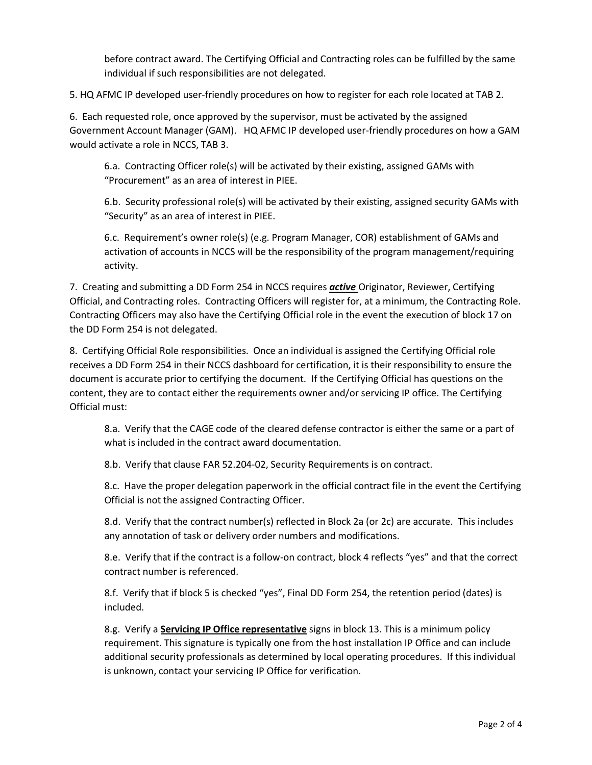before contract award. The Certifying Official and Contracting roles can be fulfilled by the same individual if such responsibilities are not delegated.

5. HQ AFMC IP developed user-friendly procedures on how to register for each role located at TAB 2.

6. Each requested role, once approved by the supervisor, must be activated by the assigned Government Account Manager (GAM). HQ AFMC IP developed user-friendly procedures on how a GAM would activate a role in NCCS, TAB 3.

6.a. Contracting Officer role(s) will be activated by their existing, assigned GAMs with "Procurement" as an area of interest in PIEE.

6.b. Security professional role(s) will be activated by their existing, assigned security GAMs with "Security" as an area of interest in PIEE.

6.c. Requirement's owner role(s) (e.g. Program Manager, COR) establishment of GAMs and activation of accounts in NCCS will be the responsibility of the program management/requiring activity.

7. Creating and submitting a DD Form 254 in NCCS requires *active* Originator, Reviewer, Certifying Official, and Contracting roles. Contracting Officers will register for, at a minimum, the Contracting Role. Contracting Officers may also have the Certifying Official role in the event the execution of block 17 on the DD Form 254 is not delegated.

8. Certifying Official Role responsibilities. Once an individual is assigned the Certifying Official role receives a DD Form 254 in their NCCS dashboard for certification, it is their responsibility to ensure the document is accurate prior to certifying the document. If the Certifying Official has questions on the content, they are to contact either the requirements owner and/or servicing IP office. The Certifying Official must:

8.a. Verify that the CAGE code of the cleared defense contractor is either the same or a part of what is included in the contract award documentation.

8.b. Verify that clause FAR 52.204-02, Security Requirements is on contract.

8.c. Have the proper delegation paperwork in the official contract file in the event the Certifying Official is not the assigned Contracting Officer.

8.d. Verify that the contract number(s) reflected in Block 2a (or 2c) are accurate. This includes any annotation of task or delivery order numbers and modifications.

8.e. Verify that if the contract is a follow-on contract, block 4 reflects "yes" and that the correct contract number is referenced.

8.f. Verify that if block 5 is checked "yes", Final DD Form 254, the retention period (dates) is included.

8.g. Verify a **Servicing IP Office representative** signs in block 13. This is a minimum policy requirement. This signature is typically one from the host installation IP Office and can include additional security professionals as determined by local operating procedures. If this individual is unknown, contact your servicing IP Office for verification.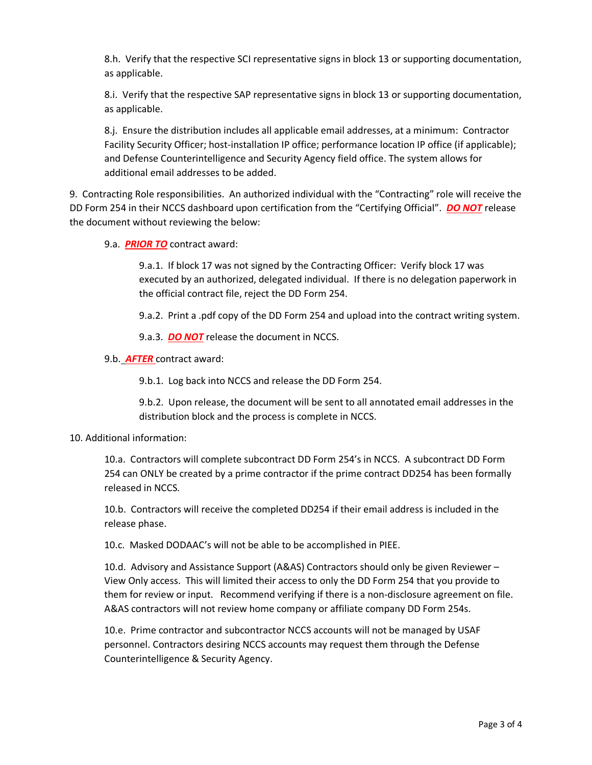8.h. Verify that the respective SCI representative signs in block 13 or supporting documentation, as applicable.

8.i. Verify that the respective SAP representative signs in block 13 or supporting documentation, as applicable.

8.j. Ensure the distribution includes all applicable email addresses, at a minimum: Contractor Facility Security Officer; host-installation IP office; performance location IP office (if applicable); and Defense Counterintelligence and Security Agency field office. The system allows for additional email addresses to be added.

9. Contracting Role responsibilities. An authorized individual with the "Contracting" role will receive the DD Form 254 in their NCCS dashboard upon certification from the "Certifying Official". *DO NOT* release the document without reviewing the below:

9.a. *PRIOR TO* contract award:

9.a.1. If block 17 was not signed by the Contracting Officer: Verify block 17 was executed by an authorized, delegated individual. If there is no delegation paperwork in the official contract file, reject the DD Form 254.

9.a.2. Print a .pdf copy of the DD Form 254 and upload into the contract writing system.

9.a.3. *DO NOT* release the document in NCCS.

9.b. *AFTER* contract award:

9.b.1. Log back into NCCS and release the DD Form 254.

9.b.2. Upon release, the document will be sent to all annotated email addresses in the distribution block and the process is complete in NCCS.

## 10. Additional information:

10.a. Contractors will complete subcontract DD Form 254's in NCCS. A subcontract DD Form 254 can ONLY be created by a prime contractor if the prime contract DD254 has been formally released in NCCS.

10.b. Contractors will receive the completed DD254 if their email address is included in the release phase.

10.c. Masked DODAAC's will not be able to be accomplished in PIEE.

10.d. Advisory and Assistance Support (A&AS) Contractors should only be given Reviewer – View Only access. This will limited their access to only the DD Form 254 that you provide to them for review or input. Recommend verifying if there is a non-disclosure agreement on file. A&AS contractors will not review home company or affiliate company DD Form 254s.

10.e. Prime contractor and subcontractor NCCS accounts will not be managed by USAF personnel. Contractors desiring NCCS accounts may request them through the Defense Counterintelligence & Security Agency.